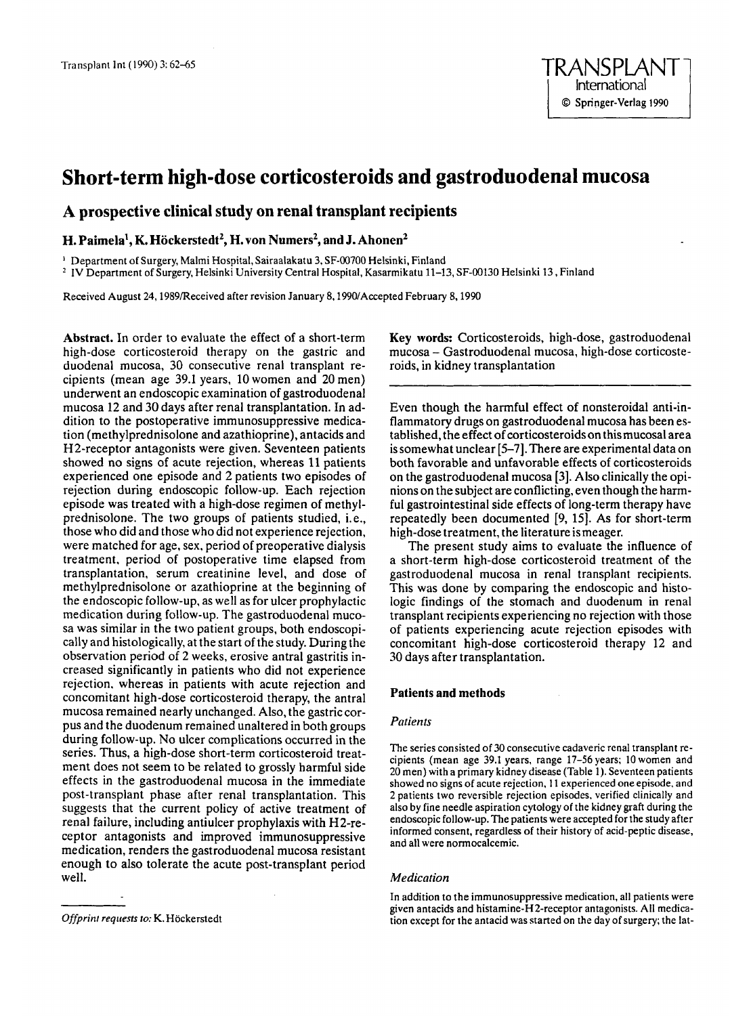# **Short-term high-dose corticosteroids and gastroduodenal mucosa**

# **A prospective clinical study on renal transplant recipients**

**H. Paimela', K. Hockerstedt', H. von Numers', and J. Ahonen\*** 

' Department **of** Surgery, Malmi Hospital, Sairaalakatu 3, SF-00700 Helsinki, Finland

IV Department of Surgery, Helsinki University Central Hospital, Kasarmikatu 11-13, SF-00130 Helsinki 13, Finland

Received August 24,1989Received after revision January 8,1990/Accepted February 8,1990

**Abstract.** In order to evaluate the effect of a short-term high-dose corticosteroid therapy on the gastric and duodenal mucosa, **30** consecutive renal transplant recipients (mean age **39.1** years, 10women and 20men) underwent an endoscopic examination of gastroduodenal mucosa 12 and **30** days after renal transplantation. In addition to the postoperative immunosuppressive medication (methylprednisolone and azathioprine), antacids and H2-receptor antagonists were given. Seventeen patients showed no signs of acute rejection, whereas 11 patients experienced one episode and 2 patients two episodes of rejection during endoscopic follow-up. Each rejection episode was treated with a high-dose regimen of methylprednisolone. The two groups of patients studied, i. e., those who did and those who did not experience rejection, were matched for age, sex, period of preoperative dialysis treatment, period of postoperative time elapsed from transplantation, serum creatinine level, and dose of methylprednisolone or azathioprine at the beginning of the endoscopic follow-up, as well as for ulcer prophylactic medication during follow-up. The gastroduodenal mucosa was similar in the two patient groups, both endoscopically and histologically, at the start of the study. During the observation period of 2 weeks, erosive antral gastritis increased significantly in patients who did not experience rejection, whereas in patients with acute rejection and concomitant high-dose corticosteroid therapy, the antral mucosa remained nearly unchanged. Also, the gastric corpus and the duodenum remained unaltered in both groups during follow-up. No ulcer complications occurred in the series. Thus, a high-dose short-term corticosteroid treatment does not seem to be related to grossly harmful side effects in the gastroduodenal mucosa in the immediate post-transplant phase after renal transplantation. This suggests that the current policy of active treatment of renal failure, including antiulcer prophylaxis with H2-receptor antagonists and improved immunosuppressive medication, renders the gastroduodenal mucosa resistant enough to also tolerate the acute post-transplant period well.

Even though the harmful effect of nonsteroidal anti-inflammatory drugs on gastroduodenal mucosa has been established, the effect of corticosteroids on thismucosal area is somewhat unclear [5-7]. There are experimental data on both favorable and unfavorable effects of corticosteroids on the gastroduodenal mucosa **(31. Also** clinically the **opi**nions on the subject are conflicting, even though the harmful gastrointestinal side effects of long-term therapy have repeatedly been documented **[9,** 151. As for short-term high-dose treatment, the literature ismeager.

The present study aims to evaluate the influence of a short-term high-dose corticosteroid treatment **of** the gastroduodenal mucosa in renal transplant recipients. This was done by comparing the endoscopic and histologic findings of the stomach and duodenum in renal transplant recipients experiencing no rejection with those of patients experiencing acute rejection episodes with concomitant high-dose corticosteroid therapy 12 and **30** days after transplantation.

# **Patients and methods**

# *Pntien ts*

The series consisted of 30 consecutive cadaveric renal transplant recipients (mean age 39.1 years, range 17-56 years; 10 women and 20 men) with a primary kidney disease (Table 1). Seventeen patients showed no signs of acute rejection, **1 1** experienced one episode, and 2 patients two reversible rejection episodes. verified clinically and also by fine needle aspiration cytology of the kidney graft during the endoscopic follow-up. The patients were accepted for the study after informed consent, regardless of their history of acid-peptic disease, and all were normocalcemic.

# *Medication*

In addition to the immunosuppressive medication, all patients were given antacids and histamine-H2-receptor antagonists. All medication except for the antacid was started on the day of surgery; the lat-

**Key words:** Corticosteroids, high-dose, gastroduodenal mucosa - Gastroduodenal mucosa, high-dose corticosteroids, in kidney transplantation

*Offprint reqriests to:* K. Hockerstedt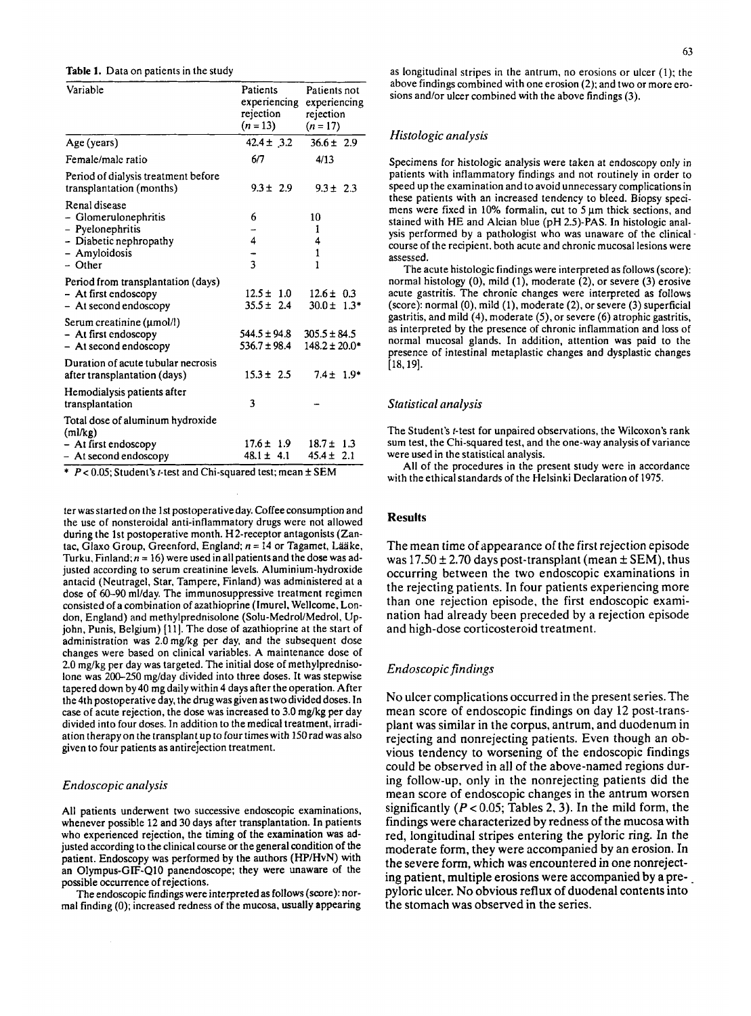| Variable                                                                                                          | Patients<br>experiencing<br>rejection<br>$(n=13)$ | Patients not<br>experiencing<br>rejection<br>$(n=17)$ | above midings combin<br>sions and/or ulcer com                                                                                                                     |
|-------------------------------------------------------------------------------------------------------------------|---------------------------------------------------|-------------------------------------------------------|--------------------------------------------------------------------------------------------------------------------------------------------------------------------|
| Age (years)                                                                                                       | $42.4 \pm .3.2$                                   | $36.6 \pm 2.9$                                        | Histologic analysis                                                                                                                                                |
| Female/male ratio                                                                                                 | 6/7                                               | 4/13                                                  | Specimens for histolog                                                                                                                                             |
| Period of dialysis treatment before<br>transplantation (months)                                                   | $9.3 \pm 2.9$                                     | $9.3 \pm 2.3$                                         | patients with inflamm<br>speed up the examinati                                                                                                                    |
| Renal disease<br>- Glomerulonephritis<br>- Pyelonephritis<br>- Diabetic nephropathy<br>- Amyloidosis<br>$-$ Other | 6<br>4<br>$\overline{\mathbf{3}}$                 | 10<br>1<br>4<br>$\mathbf{1}$<br>1                     | these patients with an<br>mens were fixed in 10<br>stained with HE and A<br>ysis performed by a p<br>course of the recipient.<br>assessed.<br>The acute histologie |
| Period from transplantation (days)<br>- At first endoscopy<br>- At second endoscopy                               | $12.5 \pm 1.0$<br>$35.5 \pm 2.4$                  | $12.6 \pm 0.3$<br>$30.0 \pm 1.3*$                     | normal histology (0), i<br>acute gastritis. The cl<br>$(\text{score})$ : normal $(0)$ , mi                                                                         |
| Serum creatinine (umol/l)<br>- At first endoscopy<br>$-$ At second endoscopy                                      | $544.5 \pm 94.8$<br>$536.7 \pm 98.4$              | $305.5 \pm 84.5$<br>$148.2 \pm 20.0*$                 | gastritis, and mild (4),<br>as interpreted by the p<br>normal mucosal gland<br>presence of intestinal                                                              |
| Duration of acute tubular necrosis<br>after transplantation (days)                                                | $15.3 \pm 2.5$                                    | $7.4 \pm 1.9*$                                        | $[18, 19]$ .                                                                                                                                                       |
| Hemodialysis patients after<br>transplantation                                                                    | 3                                                 |                                                       | Statistical analysis                                                                                                                                               |
| Total dose of aluminum hydroxide<br>(ml/kg)<br>- At first endoscopy<br>$-$ At second endoscopy                    | $17.6 \pm 1.9$<br>$48.1 \pm 4.1$                  | $18.7 \pm 1.3$<br>$45.4 \pm 2.1$                      | The Student's t-test for<br>sum test, the Chi-squar<br>were used in the statisti<br>All of the means due                                                           |

\* *Pc* 0.05; Student's r-test and Chi-squared test; mean **f** SEM

ter wasstarted on the **1st** postoperativeday. Coffeeconsumption and the use of nonsteroidal anti-inflammatory drugs were not allowed during the 1st postoperative month. H2-receptor antagonists (Zantac. Glaxo Group, Greenford, England;  $n = 14$  or Tagamet, Lääke, Turku, Finland;  $n = 16$ ) were used in all patients and the dose was adjusted according to serum creatinine levels. Aluminium-hydroxide antacid (Neutragel, Star, Tampere, Finland) was administered at a dose of 60-90 ml/day. The immunosuppressive treatment regimen consisted of a combination of azathioprine (Imurel. Wellcome, London, England) and methylprednisolone (Soh-Medrol/Medrol. Upjohn, Punis, Belgium) [11]. The dose of azathioprine at the start of administration was 2.0 mg/kg per day, and the subsequent dose changes were based on clinical variables. A maintenance dose of 2.0 **mg/kg** per day was targeted. The initial dose of methylprednisolone was 200-250 mg/day divided into three doses. It was stepwise tapered down by40 **mg** daily within 4 days after the operation. After the 4th postoperative day, the drug was given as two divided doses. In case of acute rejection, the dose was increased to 3.0 **mg/kg** per day divided into four doses. **In** addition to the medical treatment, irradiation therapyon the transplantup to four times with 150rad was also given to four patients as antirejection treatment.

#### *Endoscopic analysis*

All patients underwent two successive endoscopic examinations, whenever possible 12 and 30 days after transplantation. In patients who experienced rejection, the timing of the examination was adjusted according to the clinical course or the general condition of the patient. Endoscopy was performed by the authors (HP/HvN) with an Olyrnpus-GIF-Q10 panendoscope; they were unaware of the possible occurrence of rejections.

The endoscopic findings were interpreted as follows (score): normal finding *(0);* increased redness of the mucosa. usually appearing

Table 1. Data on patients in the study **as a constant of a constant of a** longitudinal stripes in the antrum, no erosions or ulcer (1); the above findings combined with one erosion (2); and two or more erosions and/or ulcer combined with the above findings (3).

Specimens for histologic analysis were taken at endoscopy only in patients with inflammatory findings and not routinely in order to speed up the examination and to avoid unnecessary complicationsin these patients with an increased tendency to bleed. Biopsy specimens were fixed in 10% formalin, cut to  $5 \mu m$  thick sections, and stained with HE and Alcian blue **(pH** 2.5)-PAS. **In** histologic analysis performed by a pathologist who was unaware of the clinical. course of the recipient, both acute and chronic mucosal lesions were assessed.

The acute histologic findings were interpreted as follows (score): normal histology (0), mild (1), moderate (2), or severe (3) erosive acute gastritis. The chronic changes were interpreted as follows (score): normal *(0).* mild (l), moderate (2), or severe (3) superficial gastritis, and mild **(4),** moderate **(5),** or severe (6) atrophic gastritis, as interpreted by the presence of chronic inflammation and loss of normal mucosal glands. **In** addition, attention was paid to the presence of intestinal metaplastic changes and dysplastic changes [18,19].

### *Statistical analysis*

The Student's f-test for unpaired observations, the Wilcoxon's rank **sum** test, the Chi-squared test, and the one-way analysis of variance were used in the statistical analysis.

All of the procedures in the present study were in accordance with the ethical standards of the Helsinki Declaration of 1975.

# **Results**

The mean time **of** appearance of the first rejection episode was  $17.50 \pm 2.70$  days post-transplant (mean  $\pm$  SEM), thus occurring between the two endoscopic examinations in the rejecting patients. In four patients experiencing more than one rejection episode, the first endoscopic examination had already been preceded by a rejection episode and high-dose corticosteroid treatment.

# *Endoscopic findings*

No ulcer complications occurred in the present series. The mean score of endoscopic findings on day 12 post-transplant was similar in the corpus, antrum, and duodenum in rejecting and nonrejecting patients. Even though an obvious tendency to worsening of the endoscopic findings could be observed in all of the above-named regions during follow-up, only in the nonrejecting patients did the mean score of endoscopic changes in the antrum worsen significantly *(P* < 0.05; Tables **2.3). In** the mild form, the findings were characterized by redness of the mucosa with red, longitudinal stripes entering the pyloric ring. In the moderate form, they were accompanied by an erosion. In the severe form, which was encountered in **one** nonrejecting patient, multiple erosions were accompanied by a prepyloric ulcer. No obvious reflux of duodenal contents into the stomach was observed in the series.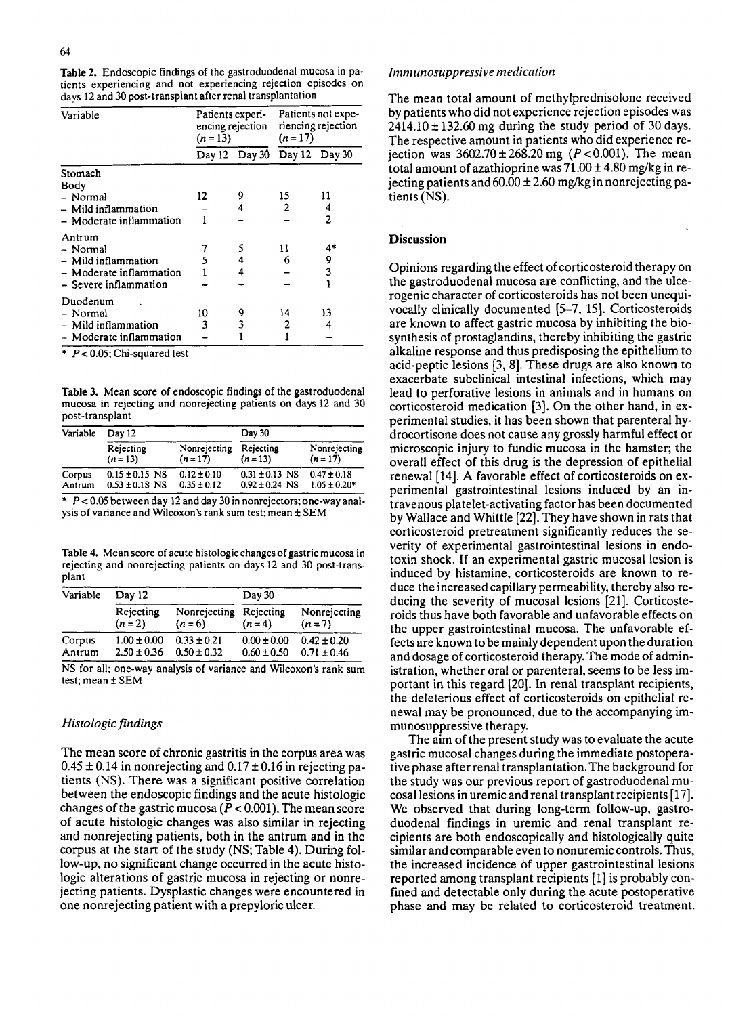**Table 2.** Endoscopic findings of the gastroduodenal mucosa in patients experiencing and not experiencing rejection episodes **on**  days 12 and 30 post-transplant after renal transplantation

| Variable                                                             | Patients experi-<br>encing rejection<br>$(n=13)$ |               | Patients not expe-<br>riencing rejection<br>$(n=17)$ |    |
|----------------------------------------------------------------------|--------------------------------------------------|---------------|------------------------------------------------------|----|
|                                                                      |                                                  | Day 12 Day 30 | Day 12 Day 30                                        |    |
| Stomach<br>Body                                                      |                                                  |               |                                                      |    |
| - Normal                                                             | 12                                               | 9             | 15                                                   | 11 |
| $-$ Mild inflammation                                                |                                                  | 4             | 2                                                    | 4  |
| - Moderate inflammation                                              | 1                                                |               |                                                      | 2  |
| Antrum                                                               |                                                  |               |                                                      |    |
| - Normal                                                             |                                                  | 5             | 11                                                   | 4* |
| – Mild inflammation                                                  | 5                                                | 4             | 6                                                    | 9  |
| - Moderate inflammation                                              |                                                  | 4             |                                                      | 3  |
| - Severe inflammation                                                |                                                  |               |                                                      |    |
| Duodenum                                                             |                                                  |               |                                                      |    |
| - Normal                                                             | 10                                               | 9             | 14                                                   | 13 |
| – Mild inflammation                                                  | 3                                                | 3             | 2                                                    | 4  |
| - Moderate inflammation<br>$\sim$ $\sim$ $\sim$ $\sim$ $\sim$ $\sim$ |                                                  |               |                                                      |    |

\* *Pc 0.05:* Chi-squared test

**Table 3.** Mean score of endoscopic findings of the gastroduodenal mucosa in rejecting and nonrejecting patients on days 12 and 30 post-transplant

| Variable         | Day 12                                   |                                    | Day 30                                   |                                     |
|------------------|------------------------------------------|------------------------------------|------------------------------------------|-------------------------------------|
|                  | Rejecting<br>$(n=13)$                    | Nonrejecting<br>$(n = 17)$         | Rejecting<br>$(n=13)$                    | Nonrejecting<br>$(n=17)$            |
| Corpus<br>Antrum | $0.15 \pm 0.15$ NS<br>$0.53 \pm 0.18$ NS | $0.12 \pm 0.10$<br>$0.35 \pm 0.12$ | $0.31 \pm 0.13$ NS<br>$0.92 \pm 0.24$ NS | $0.47 \pm 0.18$<br>$1.05 \pm 0.20*$ |

 $*$   $P < 0.05$  between day 12 and day 30 in nonrejectors; one-way analysis of variance and Wilcoxon's rank sum test; mean  $\pm$  SEM

**Table 4.** Mean score of acute histologic changes of gastric mucosa in rejecting and nonrejecting patients on days 12 and 30 post-transplant

| Variable         | Day 12                             |                                    | $\mathrm{Dav}$ 30                  |                                    |
|------------------|------------------------------------|------------------------------------|------------------------------------|------------------------------------|
|                  | Rejecting<br>$(n = 2)$             | Nonrejecting Rejecting<br>$(n=6)$  | $(n=4)$                            | Nonrejecting<br>$(n=7)$            |
| Corpus<br>Antrum | $1.00 \pm 0.00$<br>$2.50 \pm 0.36$ | $0.33 \pm 0.21$<br>$0.50 \pm 0.32$ | $0.00 \pm 0.00$<br>$0.60 \pm 0.50$ | $0.42 \pm 0.20$<br>$0.71 \pm 0.46$ |

NS for all; one-way analysis of variance and Wilcoxon's rank sum test; mean  $\pm$  SEM

# *Histologic findings*

The mean score of chronic gastritis in the corpus area was  $0.45 \pm 0.14$  in nonrejecting and  $0.17 \pm 0.16$  in rejecting patients **(NS).** There was a significant positive correlation between the endoscopic findings and the acute histologic changes of the gastric mucosa  $(P < 0.001)$ . The mean score of acute histologic changes was also similar in rejecting and nonrejecting patients, both in the antrum and in the corpus at the start of the study (NS; Table 4). During follow-up, no significant change occurred in the acute histologic alterations of gastric mucosa in rejecting or nonrejecting patients. Dysplastic changes were encountered in one nonrejecting patient with a prepyloric ulcer.

# *Imrmnosuppressive medication*

The mean total amount of methylprednisolone received by patients who did not experience rejection episodes was 2414.10 **f** 132.60 mg during the study period of 30 days. The respective amount in patients who did experience rejection was  $3602.70 \pm 268.20$  mg ( $P < 0.001$ ). The mean total amount of azathioprine was  $71.00 \pm 4.80$  mg/kg in rejecting patients and  $60.00 \pm 2.60$  mg/kg in nonrejecting patients (NS).

# **Discussion**

Opinions regarding the effect of corticosteroid therapy on the gastroduodenal mucosa are conflicting, and the ulcerogenic character of corticosteroids has not been unequivocally clinically documented [5-7, 15]. Corticosteroids are known to affect gastric mucosa by inhibiting the biosynthesis of prostaglandins, thereby inhibiting the gastric alkaline response and thus predisposing the epithelium to acid-peptic lesions [3,8]. These drugs are also known to exacerbate subclinical intestinal infections, which may lead to perforative lesions in animals and in humans on corticosteroid medication [3]. On the other hand, in experimental studies, it has been shown that parenteral hydrocortisone does not cause any grossly harmful effect or microscopic injury to fundic mucosa in the hamster; the overall effect of this drug is the depression of epithelial renewal [14]. **A** favorable effect of corticosteroids on experimental gastrointestinal lesions induced by an intravenous platelet-activating factor has been documented by Wallace and Whittle [22]. They have shown in rats that corticosteroid pretreatment significantly reduces the severity of experimental gastrointestinal lesions in endotoxin shock. If an experimental gastric mucosal lesion is induced by histamine, corticosteroids are known to reduce the increased capillary permeability, thereby also reducing the severity of mucosal lesions [21]. Corticosteroids thus have both favorable and unfavorable effects on the upper gastrointestinal mucosa. The unfavorable effects are known to be mainly dependent upon the duration and dosage of corticosteroid therapy. The mode of administration, whether oral or parenteral, seems to be less important in this regard [20]. In renal transplant recipients, the deleterious effect of corticosteroids on epithelial renewal may be pronounced, due to the accompanying immunosuppressive therapy.

The aim of the present study was to evaluate the acute gastric mucosal changes during the immediate postoperative phase after renal transplantation. The background for the study was our previous report of gastroduodenal mucosal lesions in uremic and renal transplant recipients [ 171. We observed that during long-term follow-up, gastroduodenal findings in uremic and renal transplant recipients are both endoscopically and histologically quite similar and comparable even to nonuremic controls. Thus, the increased incidence of upper gastrointestinal lesions reported among transplant recipients [l] is probably confined and detectable only during the acute postoperative phase and may be related to corticosteroid treatment.